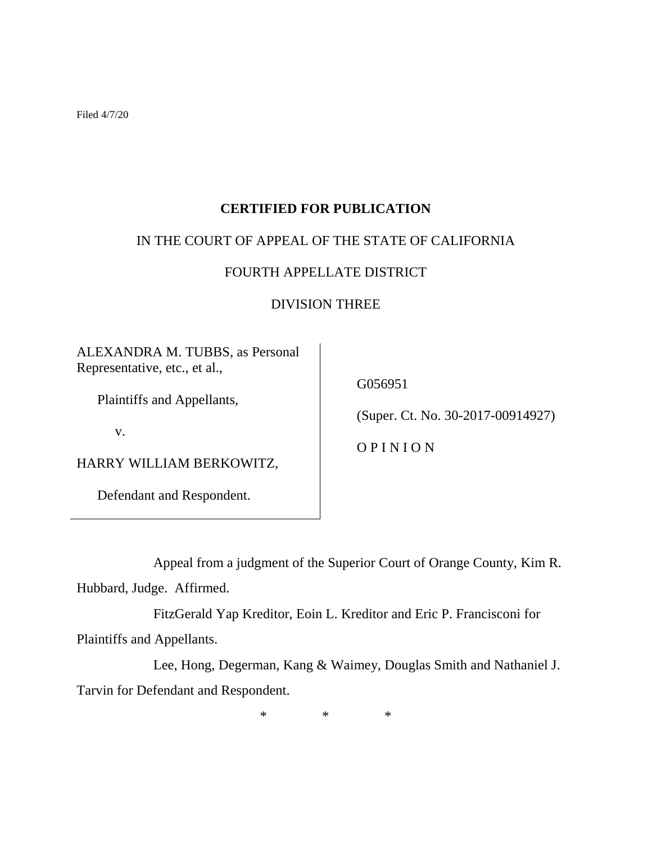Filed 4/7/20

# **CERTIFIED FOR PUBLICATION**

# IN THE COURT OF APPEAL OF THE STATE OF CALIFORNIA

# FOURTH APPELLATE DISTRICT

## DIVISION THREE

ALEXANDRA M. TUBBS, as Personal Representative, etc., et al.,

Plaintiffs and Appellants,

v.

HARRY WILLIAM BERKOWITZ,

Defendant and Respondent.

G056951

(Super. Ct. No. 30-2017-00914927)

O P I N I O N

Appeal from a judgment of the Superior Court of Orange County, Kim R.

Hubbard, Judge. Affirmed.

FitzGerald Yap Kreditor, Eoin L. Kreditor and Eric P. Francisconi for Plaintiffs and Appellants.

Lee, Hong, Degerman, Kang & Waimey, Douglas Smith and Nathaniel J. Tarvin for Defendant and Respondent.

\* \* \*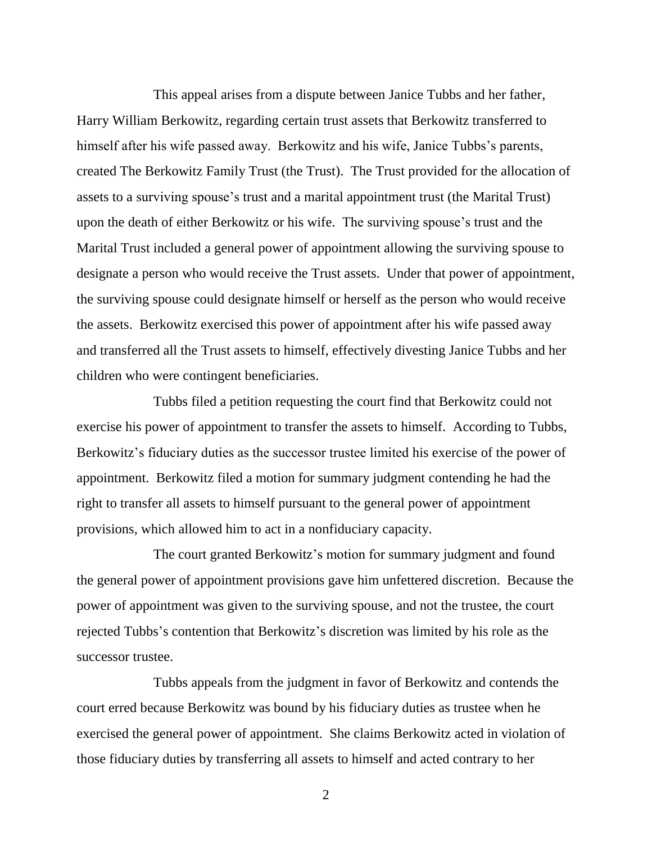This appeal arises from a dispute between Janice Tubbs and her father, Harry William Berkowitz, regarding certain trust assets that Berkowitz transferred to himself after his wife passed away. Berkowitz and his wife, Janice Tubbs's parents, created The Berkowitz Family Trust (the Trust). The Trust provided for the allocation of assets to a surviving spouse's trust and a marital appointment trust (the Marital Trust) upon the death of either Berkowitz or his wife. The surviving spouse's trust and the Marital Trust included a general power of appointment allowing the surviving spouse to designate a person who would receive the Trust assets. Under that power of appointment, the surviving spouse could designate himself or herself as the person who would receive the assets. Berkowitz exercised this power of appointment after his wife passed away and transferred all the Trust assets to himself, effectively divesting Janice Tubbs and her children who were contingent beneficiaries.

Tubbs filed a petition requesting the court find that Berkowitz could not exercise his power of appointment to transfer the assets to himself. According to Tubbs, Berkowitz's fiduciary duties as the successor trustee limited his exercise of the power of appointment. Berkowitz filed a motion for summary judgment contending he had the right to transfer all assets to himself pursuant to the general power of appointment provisions, which allowed him to act in a nonfiduciary capacity.

The court granted Berkowitz's motion for summary judgment and found the general power of appointment provisions gave him unfettered discretion. Because the power of appointment was given to the surviving spouse, and not the trustee, the court rejected Tubbs's contention that Berkowitz's discretion was limited by his role as the successor trustee.

Tubbs appeals from the judgment in favor of Berkowitz and contends the court erred because Berkowitz was bound by his fiduciary duties as trustee when he exercised the general power of appointment. She claims Berkowitz acted in violation of those fiduciary duties by transferring all assets to himself and acted contrary to her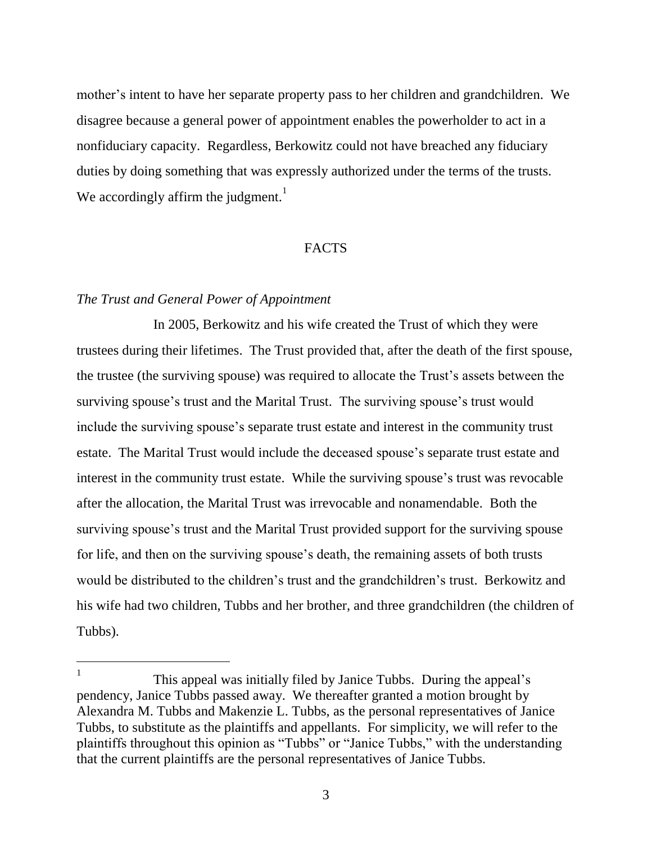mother's intent to have her separate property pass to her children and grandchildren. We disagree because a general power of appointment enables the powerholder to act in a nonfiduciary capacity. Regardless, Berkowitz could not have breached any fiduciary duties by doing something that was expressly authorized under the terms of the trusts. We accordingly affirm the judgment.<sup>1</sup>

## **FACTS**

### *The Trust and General Power of Appointment*

 $\overline{a}$ 

In 2005, Berkowitz and his wife created the Trust of which they were trustees during their lifetimes. The Trust provided that, after the death of the first spouse, the trustee (the surviving spouse) was required to allocate the Trust's assets between the surviving spouse's trust and the Marital Trust. The surviving spouse's trust would include the surviving spouse's separate trust estate and interest in the community trust estate. The Marital Trust would include the deceased spouse's separate trust estate and interest in the community trust estate. While the surviving spouse's trust was revocable after the allocation, the Marital Trust was irrevocable and nonamendable. Both the surviving spouse's trust and the Marital Trust provided support for the surviving spouse for life, and then on the surviving spouse's death, the remaining assets of both trusts would be distributed to the children's trust and the grandchildren's trust. Berkowitz and his wife had two children, Tubbs and her brother, and three grandchildren (the children of Tubbs).

<sup>1</sup> This appeal was initially filed by Janice Tubbs. During the appeal's pendency, Janice Tubbs passed away. We thereafter granted a motion brought by Alexandra M. Tubbs and Makenzie L. Tubbs, as the personal representatives of Janice Tubbs, to substitute as the plaintiffs and appellants. For simplicity, we will refer to the plaintiffs throughout this opinion as "Tubbs" or "Janice Tubbs," with the understanding that the current plaintiffs are the personal representatives of Janice Tubbs.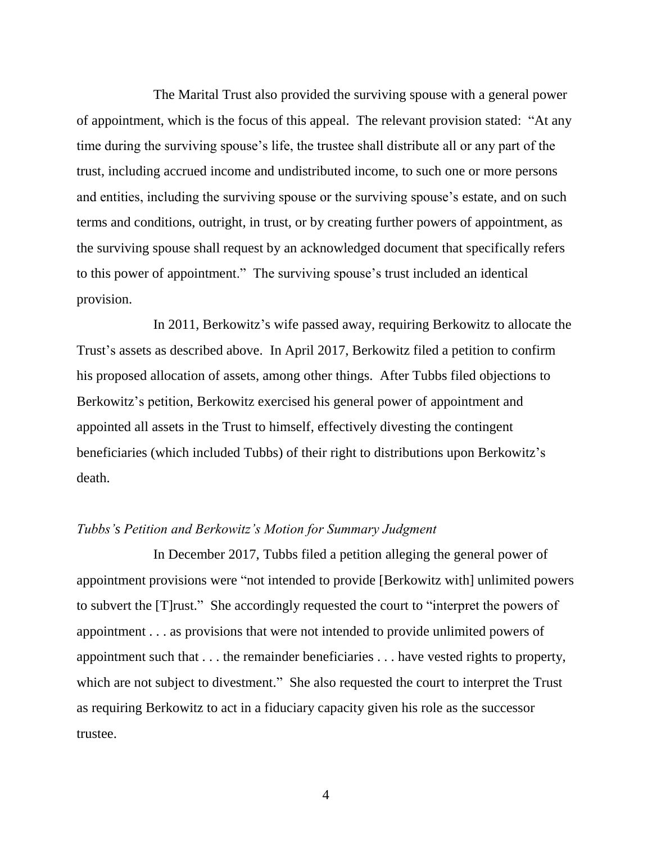The Marital Trust also provided the surviving spouse with a general power of appointment, which is the focus of this appeal. The relevant provision stated: "At any time during the surviving spouse's life, the trustee shall distribute all or any part of the trust, including accrued income and undistributed income, to such one or more persons and entities, including the surviving spouse or the surviving spouse's estate, and on such terms and conditions, outright, in trust, or by creating further powers of appointment, as the surviving spouse shall request by an acknowledged document that specifically refers to this power of appointment." The surviving spouse's trust included an identical provision.

In 2011, Berkowitz's wife passed away, requiring Berkowitz to allocate the Trust's assets as described above. In April 2017, Berkowitz filed a petition to confirm his proposed allocation of assets, among other things. After Tubbs filed objections to Berkowitz's petition, Berkowitz exercised his general power of appointment and appointed all assets in the Trust to himself, effectively divesting the contingent beneficiaries (which included Tubbs) of their right to distributions upon Berkowitz's death.

## *Tubbs's Petition and Berkowitz's Motion for Summary Judgment*

In December 2017, Tubbs filed a petition alleging the general power of appointment provisions were "not intended to provide [Berkowitz with] unlimited powers to subvert the [T]rust." She accordingly requested the court to "interpret the powers of appointment . . . as provisions that were not intended to provide unlimited powers of appointment such that . . . the remainder beneficiaries . . . have vested rights to property, which are not subject to divestment." She also requested the court to interpret the Trust as requiring Berkowitz to act in a fiduciary capacity given his role as the successor trustee.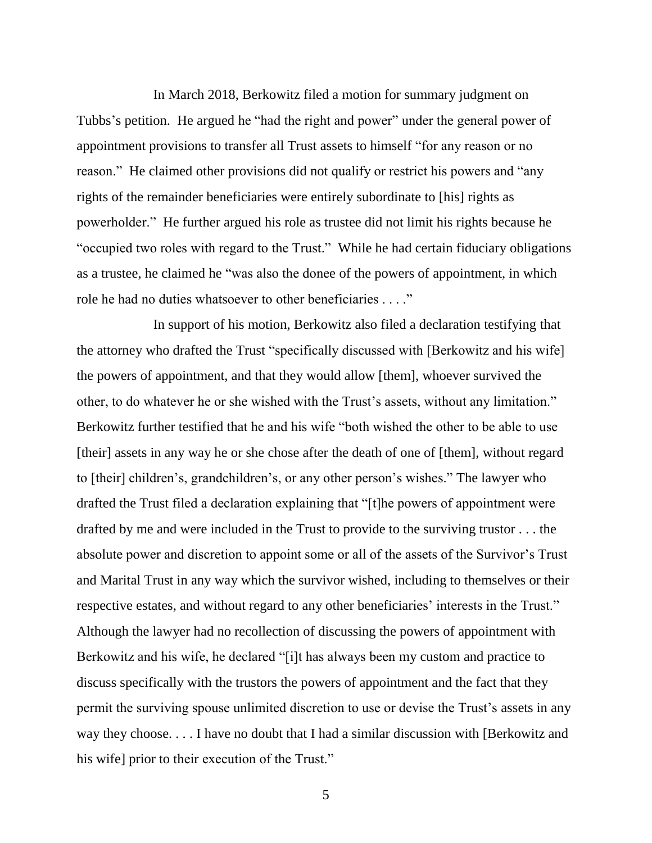In March 2018, Berkowitz filed a motion for summary judgment on Tubbs's petition. He argued he "had the right and power" under the general power of appointment provisions to transfer all Trust assets to himself "for any reason or no reason." He claimed other provisions did not qualify or restrict his powers and "any rights of the remainder beneficiaries were entirely subordinate to [his] rights as powerholder." He further argued his role as trustee did not limit his rights because he "occupied two roles with regard to the Trust." While he had certain fiduciary obligations as a trustee, he claimed he "was also the donee of the powers of appointment, in which role he had no duties whatsoever to other beneficiaries . . . ."

In support of his motion, Berkowitz also filed a declaration testifying that the attorney who drafted the Trust "specifically discussed with [Berkowitz and his wife] the powers of appointment, and that they would allow [them], whoever survived the other, to do whatever he or she wished with the Trust's assets, without any limitation." Berkowitz further testified that he and his wife "both wished the other to be able to use [their] assets in any way he or she chose after the death of one of [them], without regard to [their] children's, grandchildren's, or any other person's wishes." The lawyer who drafted the Trust filed a declaration explaining that "[t]he powers of appointment were drafted by me and were included in the Trust to provide to the surviving trustor . . . the absolute power and discretion to appoint some or all of the assets of the Survivor's Trust and Marital Trust in any way which the survivor wished, including to themselves or their respective estates, and without regard to any other beneficiaries' interests in the Trust." Although the lawyer had no recollection of discussing the powers of appointment with Berkowitz and his wife, he declared "[i]t has always been my custom and practice to discuss specifically with the trustors the powers of appointment and the fact that they permit the surviving spouse unlimited discretion to use or devise the Trust's assets in any way they choose. . . . I have no doubt that I had a similar discussion with [Berkowitz and his wife] prior to their execution of the Trust."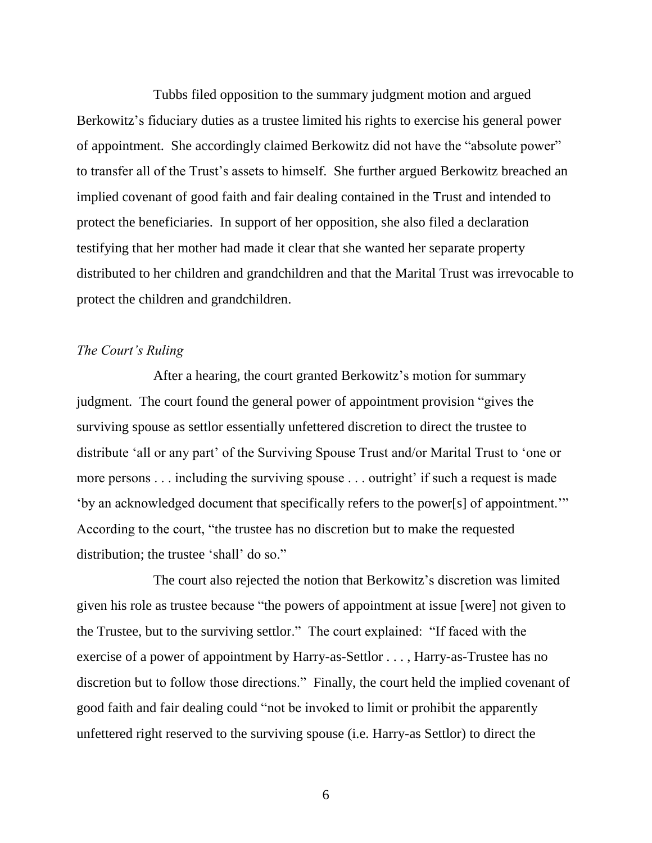Tubbs filed opposition to the summary judgment motion and argued Berkowitz's fiduciary duties as a trustee limited his rights to exercise his general power of appointment. She accordingly claimed Berkowitz did not have the "absolute power" to transfer all of the Trust's assets to himself. She further argued Berkowitz breached an implied covenant of good faith and fair dealing contained in the Trust and intended to protect the beneficiaries. In support of her opposition, she also filed a declaration testifying that her mother had made it clear that she wanted her separate property distributed to her children and grandchildren and that the Marital Trust was irrevocable to protect the children and grandchildren.

#### *The Court's Ruling*

After a hearing, the court granted Berkowitz's motion for summary judgment. The court found the general power of appointment provision "gives the surviving spouse as settlor essentially unfettered discretion to direct the trustee to distribute 'all or any part' of the Surviving Spouse Trust and/or Marital Trust to 'one or more persons . . . including the surviving spouse . . . outright' if such a request is made 'by an acknowledged document that specifically refers to the power[s] of appointment.'" According to the court, "the trustee has no discretion but to make the requested distribution; the trustee 'shall' do so."

The court also rejected the notion that Berkowitz's discretion was limited given his role as trustee because "the powers of appointment at issue [were] not given to the Trustee, but to the surviving settlor." The court explained: "If faced with the exercise of a power of appointment by Harry-as-Settlor . . . , Harry-as-Trustee has no discretion but to follow those directions." Finally, the court held the implied covenant of good faith and fair dealing could "not be invoked to limit or prohibit the apparently unfettered right reserved to the surviving spouse (i.e. Harry-as Settlor) to direct the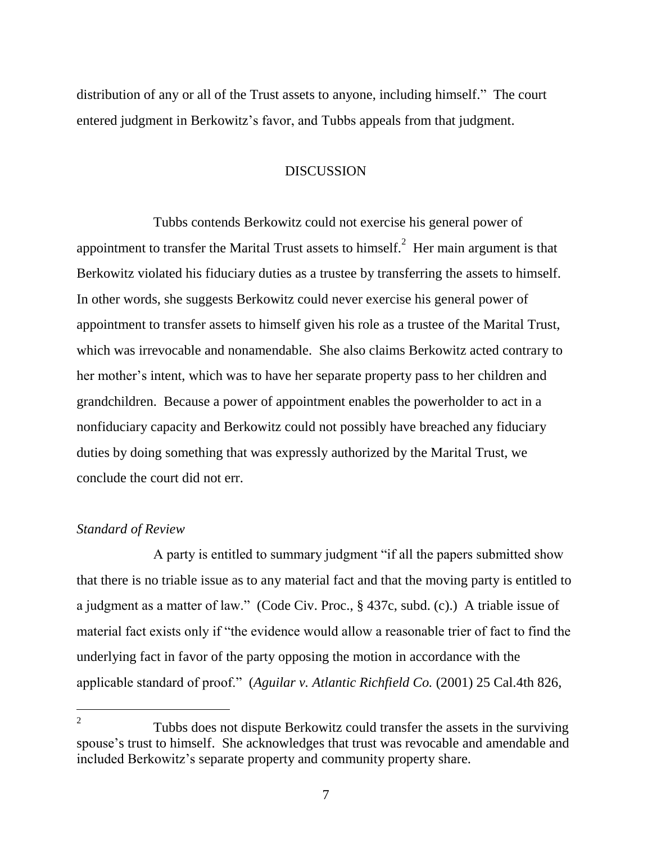distribution of any or all of the Trust assets to anyone, including himself." The court entered judgment in Berkowitz's favor, and Tubbs appeals from that judgment.

#### DISCUSSION

Tubbs contends Berkowitz could not exercise his general power of appointment to transfer the Marital Trust assets to himself.<sup>2</sup> Her main argument is that Berkowitz violated his fiduciary duties as a trustee by transferring the assets to himself. In other words, she suggests Berkowitz could never exercise his general power of appointment to transfer assets to himself given his role as a trustee of the Marital Trust, which was irrevocable and nonamendable. She also claims Berkowitz acted contrary to her mother's intent, which was to have her separate property pass to her children and grandchildren. Because a power of appointment enables the powerholder to act in a nonfiduciary capacity and Berkowitz could not possibly have breached any fiduciary duties by doing something that was expressly authorized by the Marital Trust, we conclude the court did not err.

#### *Standard of Review*

 $\overline{a}$ 

A party is entitled to summary judgment "if all the papers submitted show that there is no triable issue as to any material fact and that the moving party is entitled to a judgment as a matter of law." (Code Civ. Proc., § 437c, subd. (c).) A triable issue of material fact exists only if "the evidence would allow a reasonable trier of fact to find the underlying fact in favor of the party opposing the motion in accordance with the applicable standard of proof." (*Aguilar v. Atlantic Richfield Co.* (2001) 25 Cal.4th 826,

<sup>2</sup> Tubbs does not dispute Berkowitz could transfer the assets in the surviving spouse's trust to himself. She acknowledges that trust was revocable and amendable and included Berkowitz's separate property and community property share.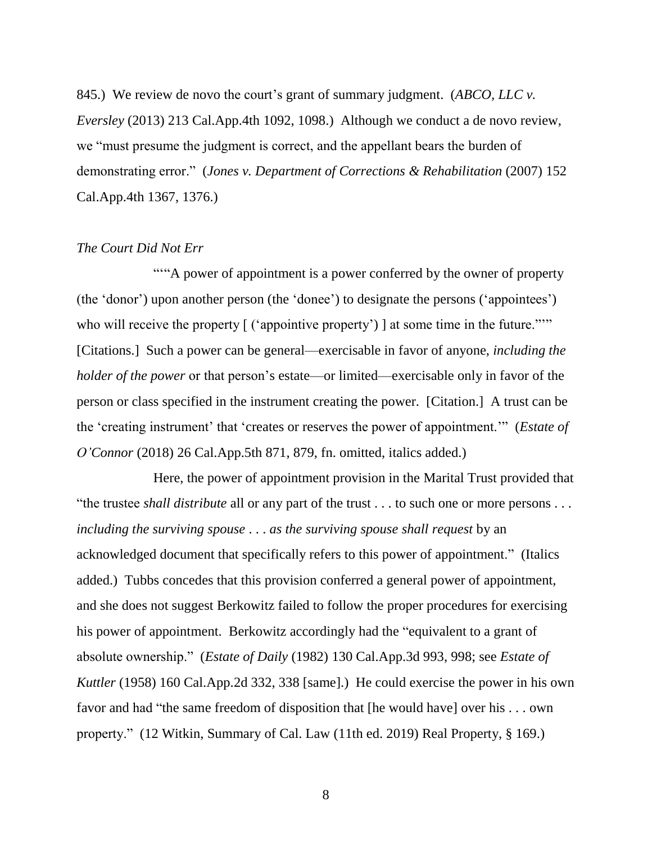845.) We review de novo the court's grant of summary judgment. (*ABCO, LLC v. Eversley* (2013) 213 Cal.App.4th 1092, 1098.) Although we conduct a de novo review, we "must presume the judgment is correct, and the appellant bears the burden of demonstrating error." (*Jones v. Department of Corrections & Rehabilitation* (2007) 152 Cal.App.4th 1367, 1376.)

#### *The Court Did Not Err*

""A power of appointment is a power conferred by the owner of property (the 'donor') upon another person (the 'donee') to designate the persons ('appointees') who will receive the property  $[$  ('appointive property') ] at some time in the future.""" [Citations.] Such a power can be general—exercisable in favor of anyone, *including the holder of the power* or that person's estate—or limited—exercisable only in favor of the person or class specified in the instrument creating the power. [Citation.] A trust can be the 'creating instrument' that 'creates or reserves the power of appointment.'" (*Estate of O'Connor* (2018) 26 Cal.App.5th 871, 879, fn. omitted, italics added.)

Here, the power of appointment provision in the Marital Trust provided that "the trustee *shall distribute* all or any part of the trust . . . to such one or more persons . . . *including the surviving spouse* . . . *as the surviving spouse shall request* by an acknowledged document that specifically refers to this power of appointment." (Italics added.) Tubbs concedes that this provision conferred a general power of appointment, and she does not suggest Berkowitz failed to follow the proper procedures for exercising his power of appointment. Berkowitz accordingly had the "equivalent to a grant of absolute ownership." (*Estate of Daily* (1982) 130 Cal.App.3d 993, 998; see *Estate of Kuttler* (1958) 160 Cal.App.2d 332, 338 [same].) He could exercise the power in his own favor and had "the same freedom of disposition that [he would have] over his . . . own property." (12 Witkin, Summary of Cal. Law (11th ed. 2019) Real Property, § 169.)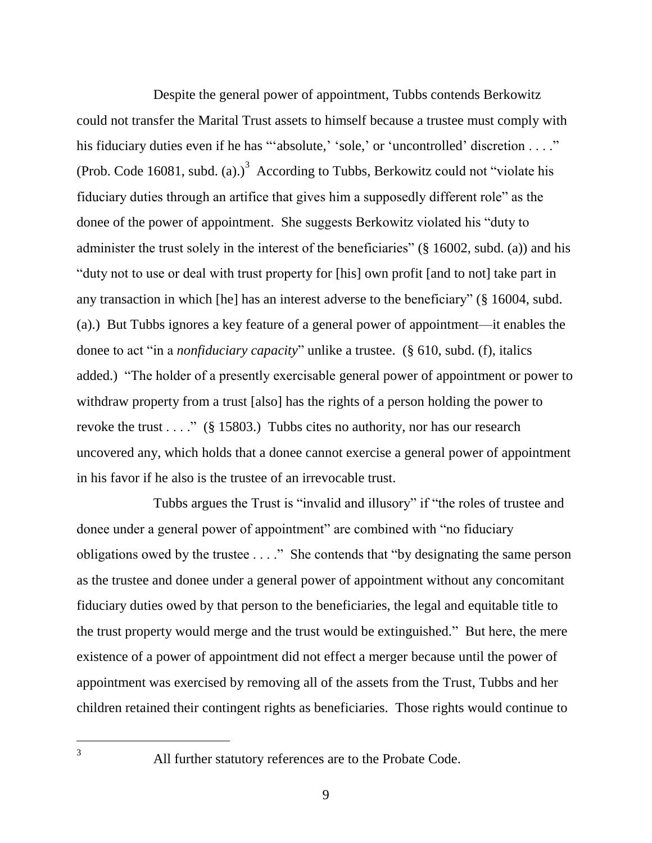Despite the general power of appointment, Tubbs contends Berkowitz could not transfer the Marital Trust assets to himself because a trustee must comply with his fiduciary duties even if he has "'absolute,' 'sole,' or 'uncontrolled' discretion . . . ." (Prob. Code 16081, subd. (a).)<sup>3</sup> According to Tubbs, Berkowitz could not "violate his fiduciary duties through an artifice that gives him a supposedly different role" as the donee of the power of appointment. She suggests Berkowitz violated his "duty to administer the trust solely in the interest of the beneficiaries" (§ 16002, subd. (a)) and his "duty not to use or deal with trust property for [his] own profit [and to not] take part in any transaction in which [he] has an interest adverse to the beneficiary" (§ 16004, subd. (a).) But Tubbs ignores a key feature of a general power of appointment—it enables the donee to act "in a *nonfiduciary capacity*" unlike a trustee. (§ 610, subd. (f), italics added.) "The holder of a presently exercisable general power of appointment or power to withdraw property from a trust [also] has the rights of a person holding the power to revoke the trust . . . ." ( $\S$  15803.) Tubbs cites no authority, nor has our research uncovered any, which holds that a donee cannot exercise a general power of appointment in his favor if he also is the trustee of an irrevocable trust.

Tubbs argues the Trust is "invalid and illusory" if "the roles of trustee and donee under a general power of appointment" are combined with "no fiduciary obligations owed by the trustee . . . ." She contends that "by designating the same person as the trustee and donee under a general power of appointment without any concomitant fiduciary duties owed by that person to the beneficiaries, the legal and equitable title to the trust property would merge and the trust would be extinguished." But here, the mere existence of a power of appointment did not effect a merger because until the power of appointment was exercised by removing all of the assets from the Trust, Tubbs and her children retained their contingent rights as beneficiaries. Those rights would continue to

 $\overline{a}$ 3

All further statutory references are to the Probate Code.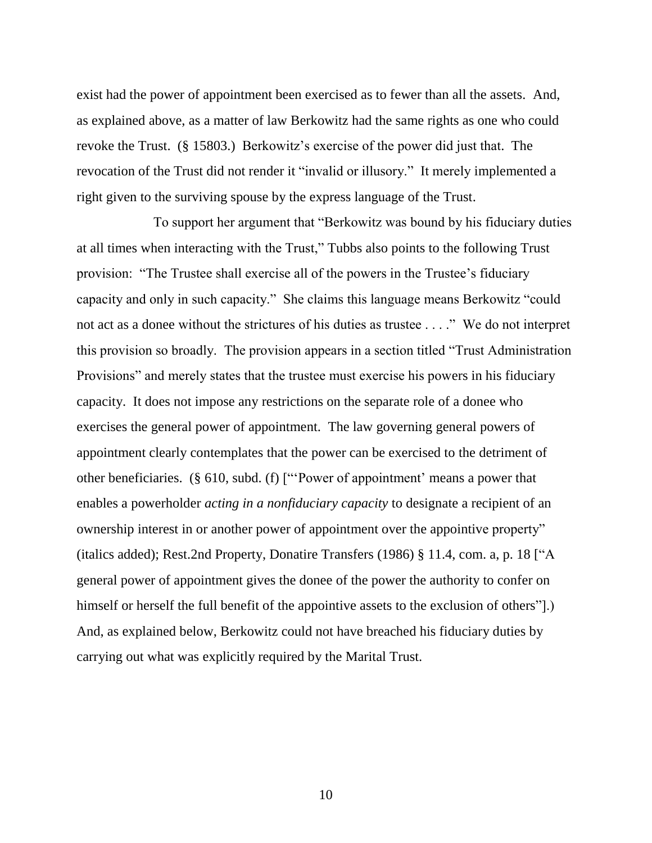exist had the power of appointment been exercised as to fewer than all the assets. And, as explained above, as a matter of law Berkowitz had the same rights as one who could revoke the Trust. (§ 15803.) Berkowitz's exercise of the power did just that. The revocation of the Trust did not render it "invalid or illusory." It merely implemented a right given to the surviving spouse by the express language of the Trust.

To support her argument that "Berkowitz was bound by his fiduciary duties at all times when interacting with the Trust," Tubbs also points to the following Trust provision: "The Trustee shall exercise all of the powers in the Trustee's fiduciary capacity and only in such capacity." She claims this language means Berkowitz "could not act as a donee without the strictures of his duties as trustee . . . ." We do not interpret this provision so broadly. The provision appears in a section titled "Trust Administration Provisions" and merely states that the trustee must exercise his powers in his fiduciary capacity. It does not impose any restrictions on the separate role of a donee who exercises the general power of appointment. The law governing general powers of appointment clearly contemplates that the power can be exercised to the detriment of other beneficiaries. (§ 610, subd. (f) ["'Power of appointment' means a power that enables a powerholder *acting in a nonfiduciary capacity* to designate a recipient of an ownership interest in or another power of appointment over the appointive property" (italics added); Rest.2nd Property, Donatire Transfers (1986) § 11.4, com. a, p. 18 ["A general power of appointment gives the donee of the power the authority to confer on himself or herself the full benefit of the appointive assets to the exclusion of others".) And, as explained below, Berkowitz could not have breached his fiduciary duties by carrying out what was explicitly required by the Marital Trust.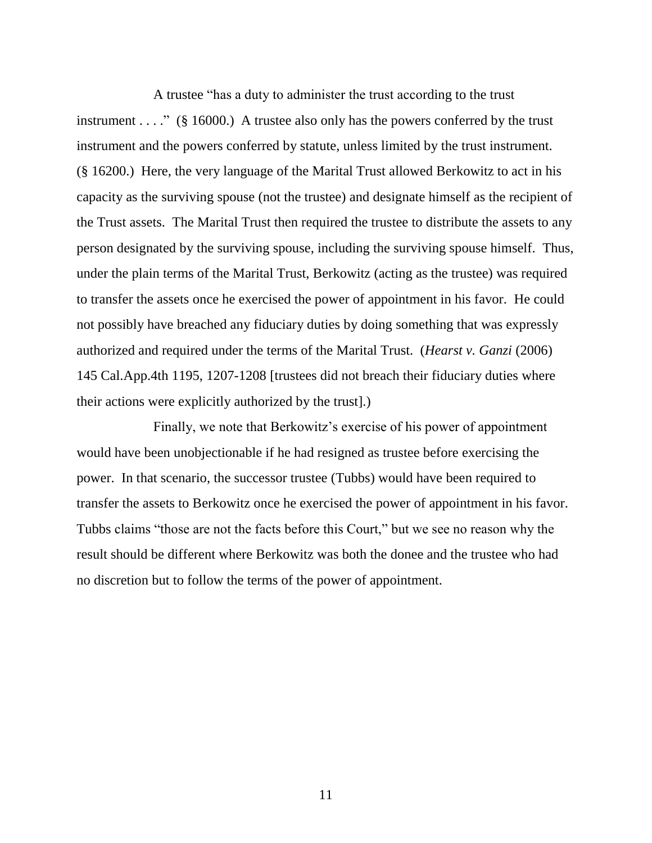A trustee "has a duty to administer the trust according to the trust instrument . . . ." ( $\S$  16000.) A trustee also only has the powers conferred by the trust instrument and the powers conferred by statute, unless limited by the trust instrument. (§ 16200.) Here, the very language of the Marital Trust allowed Berkowitz to act in his capacity as the surviving spouse (not the trustee) and designate himself as the recipient of the Trust assets. The Marital Trust then required the trustee to distribute the assets to any person designated by the surviving spouse, including the surviving spouse himself. Thus, under the plain terms of the Marital Trust, Berkowitz (acting as the trustee) was required to transfer the assets once he exercised the power of appointment in his favor. He could not possibly have breached any fiduciary duties by doing something that was expressly authorized and required under the terms of the Marital Trust. (*Hearst v. Ganzi* (2006) 145 Cal.App.4th 1195, 1207-1208 [trustees did not breach their fiduciary duties where their actions were explicitly authorized by the trust].)

Finally, we note that Berkowitz's exercise of his power of appointment would have been unobjectionable if he had resigned as trustee before exercising the power. In that scenario, the successor trustee (Tubbs) would have been required to transfer the assets to Berkowitz once he exercised the power of appointment in his favor. Tubbs claims "those are not the facts before this Court," but we see no reason why the result should be different where Berkowitz was both the donee and the trustee who had no discretion but to follow the terms of the power of appointment.